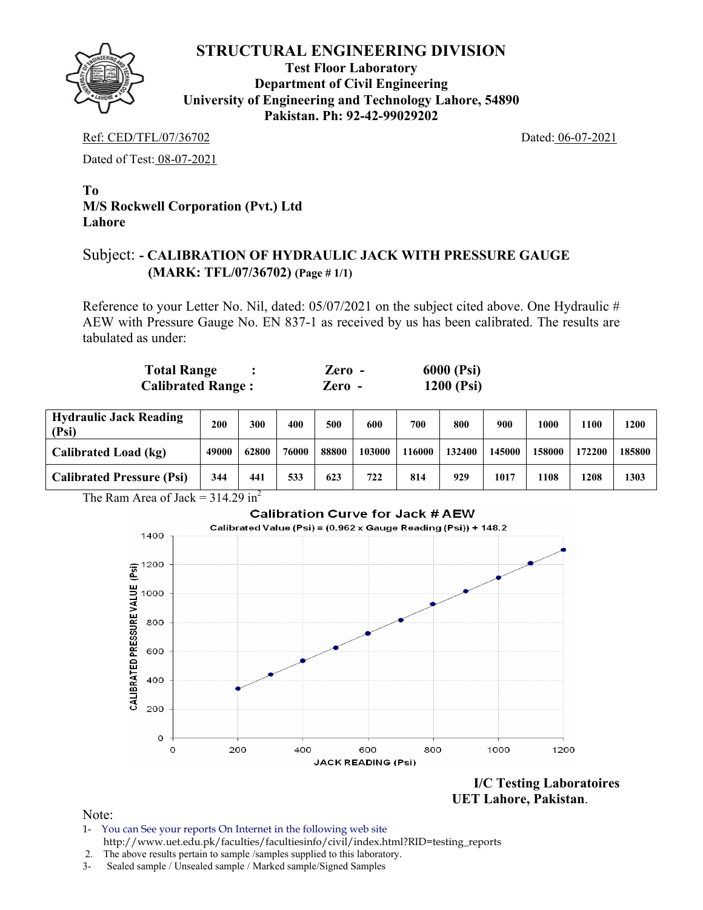

**Test Floor Laboratory Department of Civil Engineering University of Engineering and Technology Lahore, 54890 Pakistan. Ph: 92-42-99029202** 

Ref: CED/TFL/07/36702 Dated: 06-07-2021

Dated of Test: 08-07-2021

# **To M/S Rockwell Corporation (Pvt.) Ltd Lahore**

# Subject: **- CALIBRATION OF HYDRAULIC JACK WITH PRESSURE GAUGE (MARK: TFL/07/36702) (Page # 1/1)**

Reference to your Letter No. Nil, dated: 05/07/2021 on the subject cited above. One Hydraulic # AEW with Pressure Gauge No. EN 837-1 as received by us has been calibrated. The results are tabulated as under:

| Total Range              | Zero - | 6000 (Psi) |
|--------------------------|--------|------------|
| <b>Calibrated Range:</b> | Zero - | 1200 (Psi) |

| <b>Hydraulic Jack Reading</b><br>(Psi) | 200   | 300   | 400   | 500   | 600    | 700   | 800    | 900    | 1000       | 1100   | 1200   |
|----------------------------------------|-------|-------|-------|-------|--------|-------|--------|--------|------------|--------|--------|
| Calibrated Load (kg)                   | 49000 | 62800 | 76000 | 88800 | 103000 | 16000 | 132400 | 145000 | 158000     | 172200 | 185800 |
| <b>Calibrated Pressure (Psi)</b>       | 344   | 441   | 533   | 623   | 722    | 814   | 929    | 1017   | <b>108</b> | 1208   | 1303   |

The Ram Area of Jack =  $314.29 \text{ in}^2$ 



**UET Lahore, Pakistan**.

Note:

- 1- You can See your reports On Internet in the following web site http://www.uet.edu.pk/faculties/facultiesinfo/civil/index.html?RID=testing\_reports
- 2. The above results pertain to sample /samples supplied to this laboratory.
- 3- Sealed sample / Unsealed sample / Marked sample/Signed Samples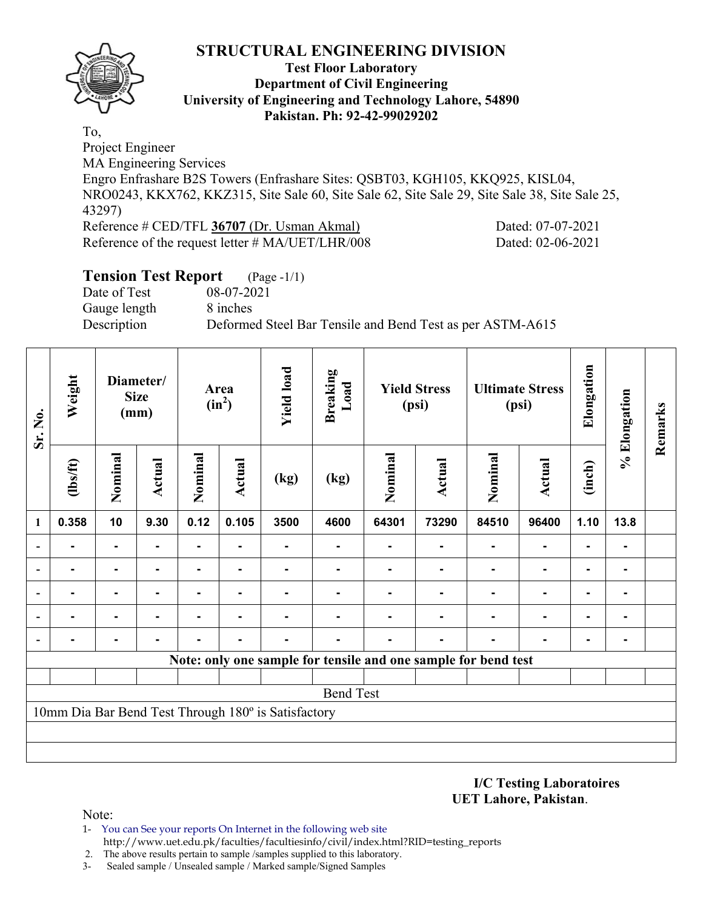

#### **Test Floor Laboratory Department of Civil Engineering University of Engineering and Technology Lahore, 54890 Pakistan. Ph: 92-42-99029202**

To, Project Engineer MA Engineering Services Engro Enfrashare B2S Towers (Enfrashare Sites: QSBT03, KGH105, KKQ925, KISL04, NRO0243, KKX762, KKZ315, Site Sale 60, Site Sale 62, Site Sale 29, Site Sale 38, Site Sale 25, 43297) Reference # CED/TFL **36707** (Dr. Usman Akmal) Dated: 07-07-2021 Reference of the request letter # MA/UET/LHR/008 Dated: 02-06-2021

# **Tension Test Report** (Page -1/1)

Date of Test 08-07-2021 Gauge length 8 inches

Description Deformed Steel Bar Tensile and Bend Test as per ASTM-A615

| Sr. No.                                                        | Weight           | Diameter/<br><b>Size</b><br>(mm) |                | Area<br>$(in^2)$ |                | <b>Yield load</b>                                   | <b>Breaking</b><br>Load | <b>Yield Stress</b><br>(psi) |               | <b>Ultimate Stress</b><br>(psi) |                | Elongation     | % Elongation | Remarks |
|----------------------------------------------------------------|------------------|----------------------------------|----------------|------------------|----------------|-----------------------------------------------------|-------------------------|------------------------------|---------------|---------------------------------|----------------|----------------|--------------|---------|
|                                                                | (1bs/ft)         | Nominal                          | Actual         | Nominal          | <b>Actual</b>  | (kg)                                                | (kg)                    | Nominal                      | <b>Actual</b> | Nominal                         | <b>Actual</b>  | (inch)         |              |         |
| 1                                                              | 0.358            | 10                               | 9.30           | 0.12             | 0.105          | 3500                                                | 4600                    | 64301                        | 73290         | 84510                           | 96400          | 1.10           | 13.8         |         |
|                                                                | ۰                | $\blacksquare$                   | $\blacksquare$ | Ξ.               | $\blacksquare$ |                                                     | -                       | ۰                            |               | $\blacksquare$                  | $\blacksquare$ | $\blacksquare$ |              |         |
|                                                                |                  | ۰                                |                | ۰                |                |                                                     |                         |                              |               |                                 | $\blacksquare$ | ٠              |              |         |
| $\overline{a}$                                                 |                  | $\blacksquare$                   |                |                  |                |                                                     |                         |                              |               |                                 | $\blacksquare$ | $\blacksquare$ |              |         |
| $\blacksquare$                                                 | $\blacksquare$   | ۰                                | $\blacksquare$ | -                |                |                                                     |                         |                              |               |                                 | ۰              | $\blacksquare$ |              |         |
| $\blacksquare$                                                 |                  | ۰                                |                |                  |                |                                                     |                         |                              |               |                                 | $\blacksquare$ | $\blacksquare$ |              |         |
| Note: only one sample for tensile and one sample for bend test |                  |                                  |                |                  |                |                                                     |                         |                              |               |                                 |                |                |              |         |
|                                                                |                  |                                  |                |                  |                |                                                     |                         |                              |               |                                 |                |                |              |         |
|                                                                | <b>Bend Test</b> |                                  |                |                  |                |                                                     |                         |                              |               |                                 |                |                |              |         |
|                                                                |                  |                                  |                |                  |                | 10mm Dia Bar Bend Test Through 180° is Satisfactory |                         |                              |               |                                 |                |                |              |         |
|                                                                |                  |                                  |                |                  |                |                                                     |                         |                              |               |                                 |                |                |              |         |
|                                                                |                  |                                  |                |                  |                |                                                     |                         |                              |               |                                 |                |                |              |         |

**I/C Testing Laboratoires UET Lahore, Pakistan**.

Note:

- 1- You can See your reports On Internet in the following web site http://www.uet.edu.pk/faculties/facultiesinfo/civil/index.html?RID=testing\_reports
- 2. The above results pertain to sample /samples supplied to this laboratory.
- 3- Sealed sample / Unsealed sample / Marked sample/Signed Samples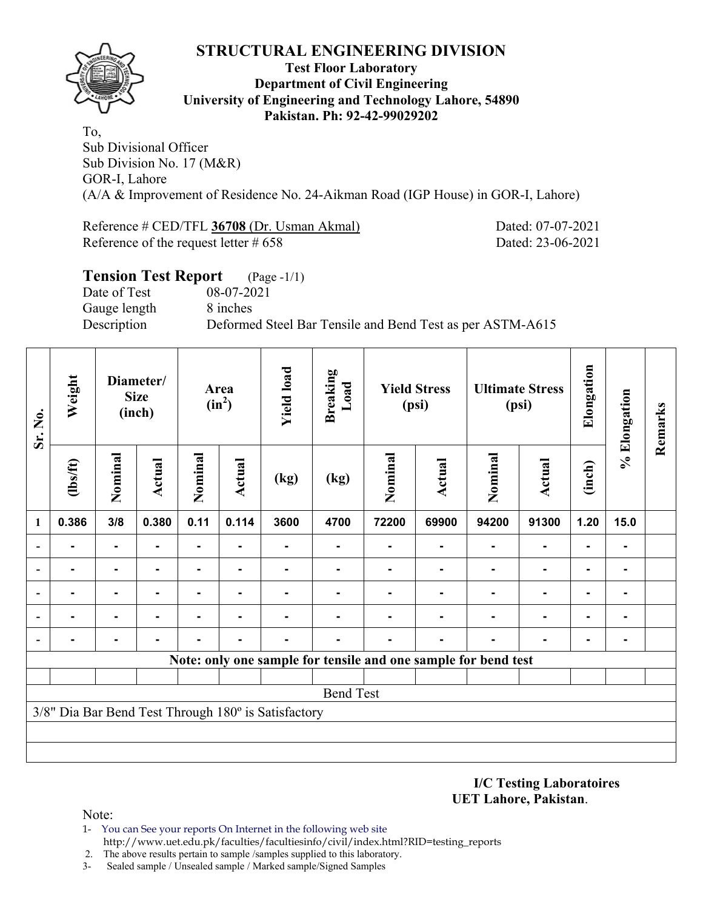

#### **Test Floor Laboratory Department of Civil Engineering University of Engineering and Technology Lahore, 54890 Pakistan. Ph: 92-42-99029202**

To, Sub Divisional Officer Sub Division No. 17 (M&R) GOR-I, Lahore (A/A & Improvement of Residence No. 24-Aikman Road (IGP House) in GOR-I, Lahore)

Reference # CED/TFL **36708** (Dr. Usman Akmal) Dated: 07-07-2021 Reference of the request letter # 658 Dated: 23-06-2021

| <b>Tension Test Report</b> (Page -1/1) |                                                           |
|----------------------------------------|-----------------------------------------------------------|
| Date of Test                           | 08-07-2021                                                |
| Gauge length                           | 8 inches                                                  |
| Description                            | Deformed Steel Bar Tensile and Bend Test as per ASTM-A615 |

| Sr. No.        | Weight                                                         | Diameter/<br><b>Size</b><br>(inch) |                | Area<br>$(in^2)$ |               | <b>Yield load</b>                                   | <b>Breaking</b><br>Load |         | <b>Yield Stress</b><br>(psi) |         | <b>Ultimate Stress</b><br>(psi) |                | % Elongation | Remarks |
|----------------|----------------------------------------------------------------|------------------------------------|----------------|------------------|---------------|-----------------------------------------------------|-------------------------|---------|------------------------------|---------|---------------------------------|----------------|--------------|---------|
|                | Nominal<br>$\frac{2}{10}$                                      |                                    | <b>Actual</b>  | Nominal          | <b>Actual</b> | (kg)                                                | (kg)                    | Nominal | <b>Actual</b>                | Nominal | <b>Actual</b>                   |                |              |         |
| 1              | 0.386                                                          | 3/8                                | 0.380          | 0.11             | 0.114         | 3600                                                | 4700                    | 72200   | 69900                        | 94200   | 91300                           | 1.20           | 15.0         |         |
|                |                                                                | ۰                                  |                | ۰                |               |                                                     |                         |         | $\blacksquare$               | ۰       |                                 | ۰              | ۰            |         |
|                | -                                                              | $\blacksquare$                     | $\blacksquare$ | ۰                | ٠             |                                                     |                         |         | $\blacksquare$               |         | $\blacksquare$                  | $\blacksquare$ | ٠            |         |
|                |                                                                | ۰                                  |                |                  |               |                                                     |                         |         |                              |         | $\blacksquare$                  | ۰              | ۰            |         |
|                |                                                                | $\blacksquare$                     |                |                  |               |                                                     |                         |         |                              |         |                                 | $\blacksquare$ | ۰            |         |
| $\overline{a}$ |                                                                |                                    |                |                  |               |                                                     |                         |         |                              |         |                                 | $\blacksquare$ |              |         |
|                | Note: only one sample for tensile and one sample for bend test |                                    |                |                  |               |                                                     |                         |         |                              |         |                                 |                |              |         |
|                |                                                                |                                    |                |                  |               |                                                     |                         |         |                              |         |                                 |                |              |         |
|                | <b>Bend Test</b>                                               |                                    |                |                  |               |                                                     |                         |         |                              |         |                                 |                |              |         |
|                |                                                                |                                    |                |                  |               | 3/8" Dia Bar Bend Test Through 180° is Satisfactory |                         |         |                              |         |                                 |                |              |         |
|                |                                                                |                                    |                |                  |               |                                                     |                         |         |                              |         |                                 |                |              |         |
|                |                                                                |                                    |                |                  |               |                                                     |                         |         |                              |         |                                 |                |              |         |

**I/C Testing Laboratoires UET Lahore, Pakistan**.

Note:

- 1- You can See your reports On Internet in the following web site http://www.uet.edu.pk/faculties/facultiesinfo/civil/index.html?RID=testing\_reports
- 2. The above results pertain to sample /samples supplied to this laboratory.
- 3- Sealed sample / Unsealed sample / Marked sample/Signed Samples